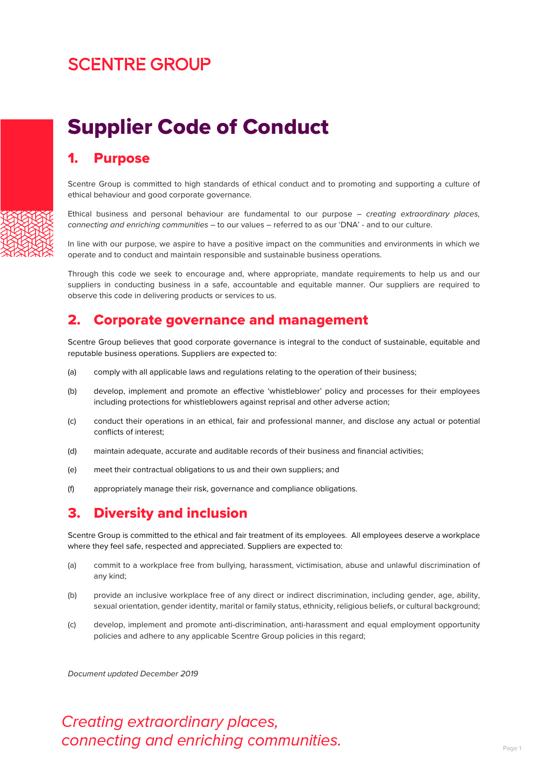## **SCENTRE GROUP**

# Supplier Code of Conduct

#### 1. Purpose

Scentre Group is committed to high standards of ethical conduct and to promoting and supporting a culture of ethical behaviour and good corporate governance.

Ethical business and personal behaviour are fundamental to our purpose – *creating extraordinary places, connecting and enriching communities* – to our values – referred to as our 'DNA' - and to our culture.

In line with our purpose, we aspire to have a positive impact on the communities and environments in which we operate and to conduct and maintain responsible and sustainable business operations.

Through this code we seek to encourage and, where appropriate, mandate requirements to help us and our suppliers in conducting business in a safe, accountable and equitable manner. Our suppliers are required to observe this code in delivering products or services to us.

#### 2. Corporate governance and management

Scentre Group believes that good corporate governance is integral to the conduct of sustainable, equitable and reputable business operations. Suppliers are expected to:

- (a) comply with all applicable laws and regulations relating to the operation of their business;
- (b) develop, implement and promote an effective 'whistleblower' policy and processes for their employees including protections for whistleblowers against reprisal and other adverse action;
- (c) conduct their operations in an ethical, fair and professional manner, and disclose any actual or potential conflicts of interest;
- (d) maintain adequate, accurate and auditable records of their business and financial activities;
- (e) meet their contractual obligations to us and their own suppliers; and
- (f) appropriately manage their risk, governance and compliance obligations.

#### 3. Diversity and inclusion

Scentre Group is committed to the ethical and fair treatment of its employees. All employees deserve a workplace where they feel safe, respected and appreciated. Suppliers are expected to:

- (a) commit to a workplace free from bullying, harassment, victimisation, abuse and unlawful discrimination of any kind;
- (b) provide an inclusive workplace free of any direct or indirect discrimination, including gender, age, ability, sexual orientation, gender identity, marital or family status, ethnicity, religious beliefs, or cultural background;
- (c) develop, implement and promote anti-discrimination, anti-harassment and equal employment opportunity policies and adhere to any applicable Scentre Group policies in this regard;

*Document updated December 2019*

### Creating extraordinary places, connecting and enriching communities.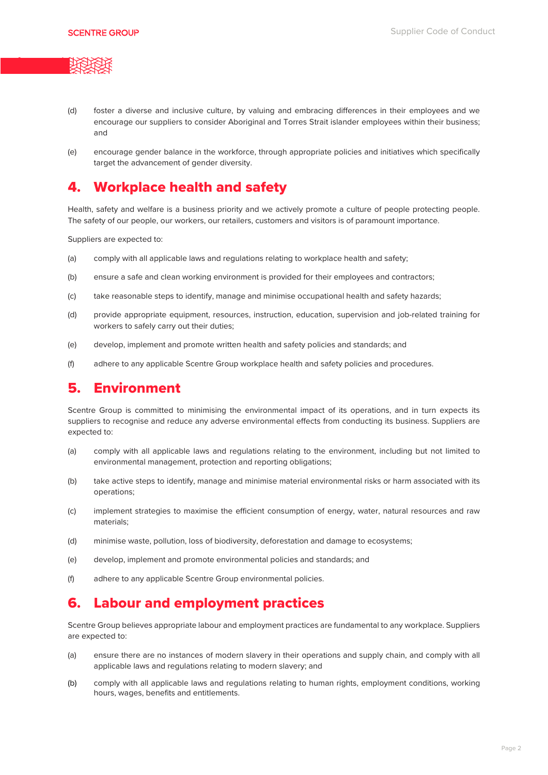

- (d) foster a diverse and inclusive culture, by valuing and embracing differences in their employees and we encourage our suppliers to consider Aboriginal and Torres Strait islander employees within their business; and
- (e) encourage gender balance in the workforce, through appropriate policies and initiatives which specifically target the advancement of gender diversity.

#### 4. Workplace health and safety

Health, safety and welfare is a business priority and we actively promote a culture of people protecting people. The safety of our people, our workers, our retailers, customers and visitors is of paramount importance.

Suppliers are expected to:

- (a) comply with all applicable laws and regulations relating to workplace health and safety;
- (b) ensure a safe and clean working environment is provided for their employees and contractors;
- (c) take reasonable steps to identify, manage and minimise occupational health and safety hazards;
- (d) provide appropriate equipment, resources, instruction, education, supervision and job-related training for workers to safely carry out their duties;
- (e) develop, implement and promote written health and safety policies and standards; and
- (f) adhere to any applicable Scentre Group workplace health and safety policies and procedures.

#### 5. Environment

Scentre Group is committed to minimising the environmental impact of its operations, and in turn expects its suppliers to recognise and reduce any adverse environmental effects from conducting its business. Suppliers are expected to:

- (a) comply with all applicable laws and regulations relating to the environment, including but not limited to environmental management, protection and reporting obligations;
- (b) take active steps to identify, manage and minimise material environmental risks or harm associated with its operations;
- (c) implement strategies to maximise the efficient consumption of energy, water, natural resources and raw materials;
- (d) minimise waste, pollution, loss of biodiversity, deforestation and damage to ecosystems;
- (e) develop, implement and promote environmental policies and standards; and
- (f) adhere to any applicable Scentre Group environmental policies.

#### 6. Labour and employment practices

Scentre Group believes appropriate labour and employment practices are fundamental to any workplace. Suppliers are expected to:

- (a) ensure there are no instances of modern slavery in their operations and supply chain, and comply with all applicable laws and regulations relating to modern slavery; and
- (b) comply with all applicable laws and regulations relating to human rights, employment conditions, working hours, wages, benefits and entitlements.